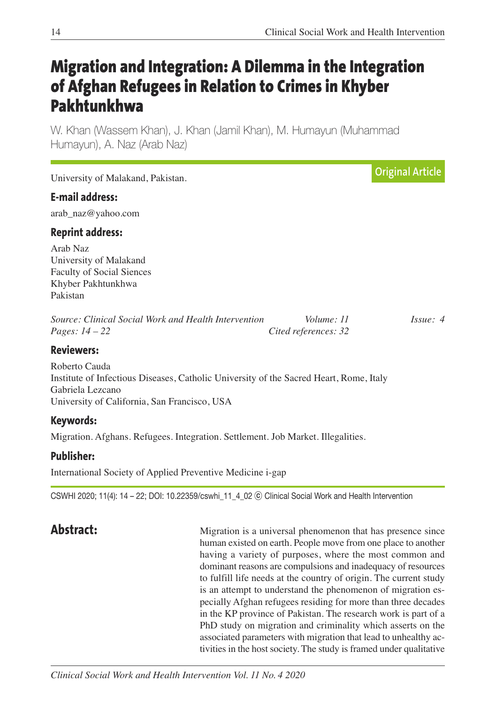# **Migration and Integration: A Dilemma in the Integration of Afghan Refugees in Relation to Crimes in Khyber Pakhtunkhwa**

W. Khan (Wassem Khan), J. Khan (Jamil Khan), M. Humayun (Muhammad Humayun), A. Naz (Arab Naz)

University of Malakand, Pakistan.

## **E-mail address:**

arab\_naz@yahoo.com

#### **Reprint address:**

Arab Naz University of Malakand Faculty of Social Siences Khyber Pakhtunkhwa Pakistan

| Source: Clinical Social Work and Health Intervention | Volume: 11           | <i>Issue: 4</i> |
|------------------------------------------------------|----------------------|-----------------|
| <i>Pages:</i> $14 - 22$                              | Cited references: 32 |                 |

#### **Reviewers:**

Roberto Cauda Institute of Infectious Diseases, Catholic University of the Sacred Heart, Rome, Italy Gabriela Lezcano University of California, San Francisco, USA

# **Keywords:**

Migration. Afghans. Refugees. Integration. Settlement. Job Market. Illegalities.

### **Publisher:**

International Society of Applied Preventive Medicine i-gap

CSWHI 2020; 11(4): 14 – 22; DOI: 10.22359/cswhi\_11\_4\_02 ⓒ Clinical Social Work and Health Intervention

**Abstract:** Migration is a universal phenomenon that has presence since human existed on earth. People move from one place to another having a variety of purposes, where the most common and dominant reasons are compulsions and inadequacy of resources to fulfill life needs at the country of origin. The current study is an attempt to understand the phenomenon of migration especially Afghan refugees residing for more than three decades in the KP province of Pakistan. The research work is part of a PhD study on migration and criminality which asserts on the associated parameters with migration that lead to unhealthy activities in the host society. The study is framed under qualitative

**Original Article**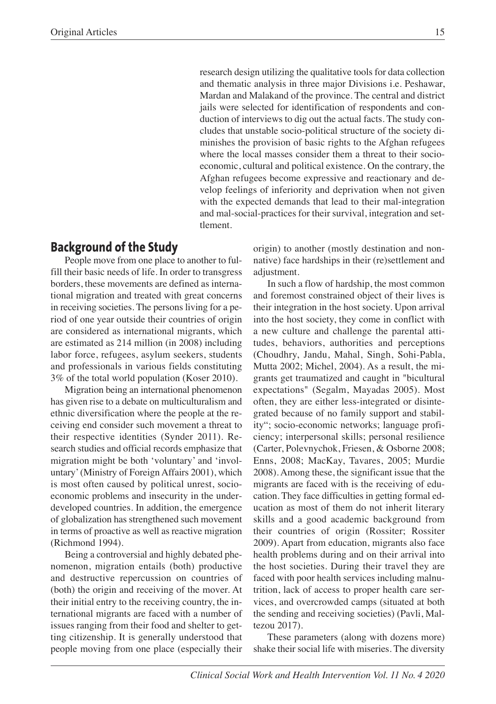research design utilizing the qualitative tools for data collection and thematic analysis in three major Divisions i.e. Peshawar, Mardan and Malakand of the province. The central and district jails were selected for identification of respondents and conduction of interviews to dig out the actual facts. The study concludes that unstable socio-political structure of the society diminishes the provision of basic rights to the Afghan refugees where the local masses consider them a threat to their socioeconomic, cultural and political existence. On the contrary, the Afghan refugees become expressive and reactionary and develop feelings of inferiority and deprivation when not given with the expected demands that lead to their mal-integration and mal-social-practices for their survival, integration and settlement.

# **Background of the Study**

People move from one place to another to fulfill their basic needs of life. In order to transgress borders, these movements are defined as international migration and treated with great concerns in receiving societies. The persons living for a period of one year outside their countries of origin are considered as international migrants, which are estimated as 214 million (in 2008) including labor force, refugees, asylum seekers, students and professionals in various fields constituting 3% of the total world population (Koser 2010).

Migration being an international phenomenon has given rise to a debate on multiculturalism and ethnic diversification where the people at the receiving end consider such movement a threat to their respective identities (Synder 2011). Research studies and official records emphasize that migration might be both 'voluntary' and 'involuntary'(Ministry of Foreign Affairs 2001), which is most often caused by political unrest, socioeconomic problems and insecurity in the underdeveloped countries. In addition, the emergence of globalization has strengthened such movement in terms of proactive as well as reactive migration (Richmond 1994).

Being a controversial and highly debated phenomenon, migration entails (both) productive and destructive repercussion on countries of (both) the origin and receiving of the mover. At their initial entry to the receiving country, the international migrants are faced with a number of issues ranging from their food and shelter to getting citizenship. It is generally understood that people moving from one place (especially their

origin) to another (mostly destination and nonnative) face hardships in their (re)settlement and adjustment.

In such a flow of hardship, the most common and foremost constrained object of their lives is their integration in the host society. Upon arrival into the host society, they come in conflict with a new culture and challenge the parental attitudes, behaviors, authorities and perceptions (Choudhry, Jandu, Mahal, Singh, Sohi-Pabla, Mutta 2002; Michel, 2004). As a result, the migrants get traumatized and caught in "bicultural expectations" (Segalm, Mayadas 2005). Most often, they are either less-integrated or disintegrated because of no family support and stability"; socio-economic networks; language proficiency; interpersonal skills; personal resilience (Carter, Polevnychok, Friesen, & Osborne 2008; Enns, 2008; MacKay, Tavares, 2005; Murdie 2008). Among these, the significant issue that the migrants are faced with is the receiving of education. They face difficulties in getting formal education as most of them do not inherit literary skills and a good academic background from their countries of origin (Rossiter; Rossiter 2009). Apart from education, migrants also face health problems during and on their arrival into the host societies. During their travel they are faced with poor health services including malnutrition, lack of access to proper health care services, and overcrowded camps (situated at both the sending and receiving societies) (Pavli, Maltezou 2017).

These parameters (along with dozens more) shake their social life with miseries. The diversity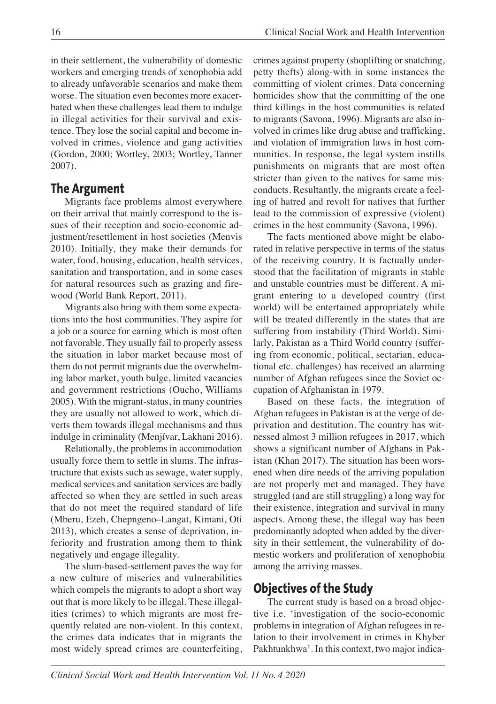in their settlement, the vulnerability of domestic workers and emerging trends of xenophobia add to already unfavorable scenarios and make them worse. The situation even becomes more exacerbated when these challenges lead them to indulge in illegal activities for their survival and existence. They lose the social capital and become involved in crimes, violence and gang activities (Gordon, 2000; Wortley, 2003; Wortley, Tanner 2007).

### **The Argument**

Migrants face problems almost everywhere on their arrival that mainly correspond to the issues of their reception and socio-economic adjustment/resettlement in host societies (Menvis 2010). Initially, they make their demands for water, food, housing, education, health services, sanitation and transportation, and in some cases for natural resources such as grazing and firewood (World Bank Report, 2011).

Migrants also bring with them some expectations into the host communities. They aspire for a job or a source for earning which is most often not favorable. They usually fail to properly assess the situation in labor market because most of them do not permit migrants due the overwhelming labor market, youth bulge, limited vacancies and government restrictions (Oucho, Williams 2005). With the migrant-status, in many countries they are usually not allowed to work, which diverts them towards illegal mechanisms and thus indulge in criminality (Menjívar, Lakhani 2016).

Relationally, the problems in accommodation usually force them to settle in slums. The infrastructure that exists such as sewage, water supply, medical services and sanitation services are badly affected so when they are settled in such areas that do not meet the required standard of life (Mberu, Ezeh, Chepngeno–Langat, Kimani, Oti 2013), which creates a sense of deprivation, inferiority and frustration among them to think negatively and engage illegality.

The slum-based-settlement paves the way for a new culture of miseries and vulnerabilities which compels the migrants to adopt a short way out that is more likely to be illegal. These illegalities (crimes) to which migrants are most frequently related are non-violent. In this context, the crimes data indicates that in migrants the most widely spread crimes are counterfeiting,

crimes against property (shoplifting or snatching, petty thefts) along-with in some instances the committing of violent crimes. Data concerning homicides show that the committing of the one third killings in the host communities is related to migrants (Savona, 1996). Migrants are also involved in crimes like drug abuse and trafficking, and violation of immigration laws in host communities. In response, the legal system instills punishments on migrants that are most often stricter than given to the natives for same misconducts. Resultantly, the migrants create a feeling of hatred and revolt for natives that further lead to the commission of expressive (violent) crimes in the host community (Savona, 1996).

The facts mentioned above might be elaborated in relative perspective in terms of the status of the receiving country. It is factually understood that the facilitation of migrants in stable and unstable countries must be different. A migrant entering to a developed country (first world) will be entertained appropriately while will be treated differently in the states that are suffering from instability (Third World). Similarly, Pakistan as a Third World country (suffering from economic, political, sectarian, educational etc. challenges) has received an alarming number of Afghan refugees since the Soviet occupation of Afghanistan in 1979.

Based on these facts, the integration of Afghan refugees in Pakistan is at the verge of deprivation and destitution. The country has witnessed almost 3 million refugees in 2017, which shows a significant number of Afghans in Pakistan (Khan 2017). The situation has been worsened when dire needs of the arriving population are not properly met and managed. They have struggled (and are still struggling) a long way for their existence, integration and survival in many aspects. Among these, the illegal way has been predominantly adopted when added by the diversity in their settlement, the vulnerability of domestic workers and proliferation of xenophobia among the arriving masses.

# **Objectives of the Study**

The current study is based on a broad objective i.e. 'investigation of the socio-economic problems in integration of Afghan refugees in relation to their involvement in crimes in Khyber Pakhtunkhwa'. In this context, two major indica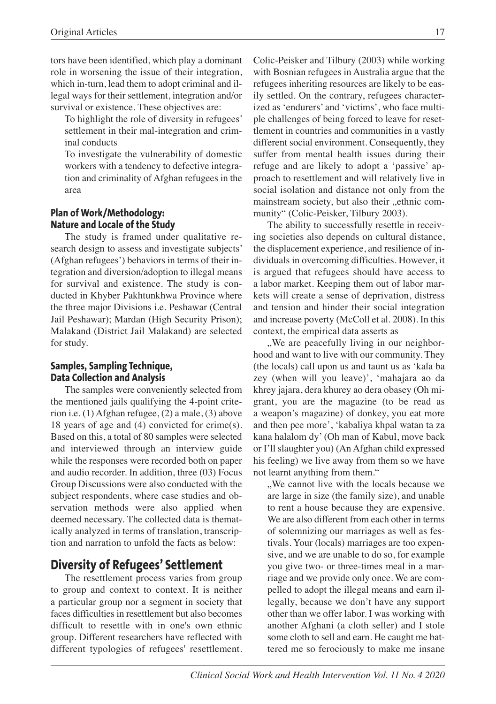tors have been identified, which play a dominant role in worsening the issue of their integration, which in-turn, lead them to adopt criminal and illegal ways for their settlement, integration and/or survival or existence. These objectives are:

To highlight the role of diversity in refugees' settlement in their mal-integration and criminal conducts

To investigate the vulnerability of domestic workers with a tendency to defective integration and criminality of Afghan refugees in the area

#### **Plan of Work/Methodology: Nature and Locale of the Study**

The study is framed under qualitative research design to assess and investigate subjects' (Afghan refugees') behaviors in terms of their integration and diversion/adoption to illegal means for survival and existence. The study is conducted in Khyber Pakhtunkhwa Province where the three major Divisions i.e. Peshawar (Central Jail Peshawar); Mardan (High Security Prison); Malakand (District Jail Malakand) are selected for study.

#### **Samples, Sampling Technique, Data Collection and Analysis**

The samples were conveniently selected from the mentioned jails qualifying the 4-point criterion i.e. (1) Afghan refugee, (2) a male, (3) above 18 years of age and (4) convicted for crime(s). Based on this, a total of 80 samples were selected and interviewed through an interview guide while the responses were recorded both on paper and audio recorder. In addition, three (03) Focus Group Discussions were also conducted with the subject respondents, where case studies and observation methods were also applied when deemed necessary. The collected data is thematically analyzed in terms of translation, transcription and narration to unfold the facts as below:

# **Diversity of Refugees' Settlement**

The resettlement process varies from group to group and context to context. It is neither a particular group nor a segment in society that faces difficulties in resettlement but also becomes difficult to resettle with in one's own ethnic group. Different researchers have reflected with different typologies of refugees' resettlement.

Colic-Peisker and Tilbury (2003) while working with Bosnian refugees in Australia argue that the refugees inheriting resources are likely to be easily settled. On the contrary, refugees characterized as 'endurers' and 'victims', who face multiple challenges of being forced to leave for resettlement in countries and communities in a vastly different social environment. Consequently, they suffer from mental health issues during their refuge and are likely to adopt a 'passive' approach to resettlement and will relatively live in social isolation and distance not only from the mainstream society, but also their "ethnic community" (Colic-Peisker, Tilbury 2003).

The ability to successfully resettle in receiving societies also depends on cultural distance, the displacement experience, and resilience of individuals in overcoming difficulties. However, it is argued that refugees should have access to a labor market. Keeping them out of labor markets will create a sense of deprivation, distress and tension and hinder their social integration and increase poverty (McColl et al. 2008). In this context, the empirical data asserts as

., We are peacefully living in our neighborhood and want to live with our community. They (the locals) call upon us and taunt us as 'kala ba zey (when will you leave)', 'mahajara ao da khrey jajara, dera khurey ao dera obasey (Oh migrant, you are the magazine (to be read as a weapon's magazine) of donkey, you eat more and then pee more', 'kabaliya khpal watan ta za kana halalom dy' (Oh man of Kabul, move back or I'll slaughter you) (An Afghan child expressed his feeling) we live away from them so we have not learnt anything from them."

..We cannot live with the locals because we are large in size (the family size), and unable to rent a house because they are expensive. We are also different from each other in terms of solemnizing our marriages as well as festivals. Your (locals) marriages are too expensive, and we are unable to do so, for example you give two- or three-times meal in a marriage and we provide only once. We are compelled to adopt the illegal means and earn illegally, because we don't have any support other than we offer labor. I was working with another Afghani (a cloth seller) and I stole some cloth to sell and earn. He caught me battered me so ferociously to make me insane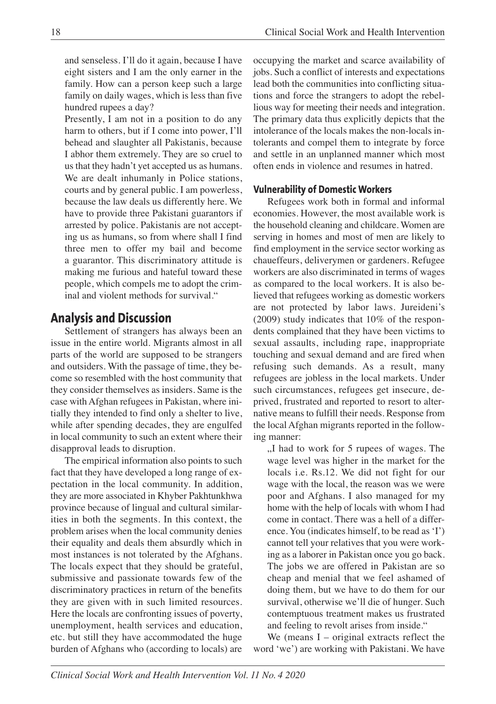and senseless. I'll do it again, because I have eight sisters and I am the only earner in the family. How can a person keep such a large family on daily wages, which is less than five hundred rupees a day?

Presently, I am not in a position to do any harm to others, but if I come into power, I'll behead and slaughter all Pakistanis, because I abhor them extremely. They are so cruel to us that they hadn't yet accepted us as humans. We are dealt inhumanly in Police stations, courts and by general public. I am powerless, because the law deals us differently here. We have to provide three Pakistani guarantors if arrested by police. Pakistanis are not accepting us as humans, so from where shall I find three men to offer my bail and become a guarantor. This discriminatory attitude is making me furious and hateful toward these people, which compels me to adopt the criminal and violent methods for survival."

# **Analysis and Discussion**

Settlement of strangers has always been an issue in the entire world. Migrants almost in all parts of the world are supposed to be strangers and outsiders. With the passage of time, they become so resembled with the host community that they consider themselves as insiders. Same is the case with Afghan refugees in Pakistan, where initially they intended to find only a shelter to live, while after spending decades, they are engulfed in local community to such an extent where their disapproval leads to disruption.

The empirical information also points to such fact that they have developed a long range of expectation in the local community. In addition, they are more associated in Khyber Pakhtunkhwa province because of lingual and cultural similarities in both the segments. In this context, the problem arises when the local community denies their equality and deals them absurdly which in most instances is not tolerated by the Afghans. The locals expect that they should be grateful, submissive and passionate towards few of the discriminatory practices in return of the benefits they are given with in such limited resources. Here the locals are confronting issues of poverty, unemployment, health services and education, etc. but still they have accommodated the huge burden of Afghans who (according to locals) are

occupying the market and scarce availability of jobs. Such a conflict of interests and expectations lead both the communities into conflicting situations and force the strangers to adopt the rebellious way for meeting their needs and integration. The primary data thus explicitly depicts that the intolerance of the locals makes the non-locals intolerants and compel them to integrate by force and settle in an unplanned manner which most often ends in violence and resumes in hatred.

#### **Vulnerability of Domestic Workers**

Refugees work both in formal and informal economies. However, the most available work is the household cleaning and childcare. Women are serving in homes and most of men are likely to find employment in the service sector working as chaueffeurs, deliverymen or gardeners. Refugee workers are also discriminated in terms of wages as compared to the local workers. It is also believed that refugees working as domestic workers are not protected by labor laws. Jureideni's (2009) study indicates that 10% of the respondents complained that they have been victims to sexual assaults, including rape, inappropriate touching and sexual demand and are fired when refusing such demands. As a result, many refugees are jobless in the local markets. Under such circumstances, refugees get insecure, deprived, frustrated and reported to resort to alternative means to fulfill their needs. Response from the local Afghan migrants reported in the following manner:

"I had to work for 5 rupees of wages. The wage level was higher in the market for the locals i.e. Rs.12. We did not fight for our wage with the local, the reason was we were poor and Afghans. I also managed for my home with the help of locals with whom I had come in contact. There was a hell of a difference. You (indicates himself, to be read as 'I') cannot tell your relatives that you were working as a laborer in Pakistan once you go back. The jobs we are offered in Pakistan are so cheap and menial that we feel ashamed of doing them, but we have to do them for our survival, otherwise we'll die of hunger. Such contemptuous treatment makes us frustrated and feeling to revolt arises from inside."

We (means  $I$  – original extracts reflect the word 'we') are working with Pakistani. We have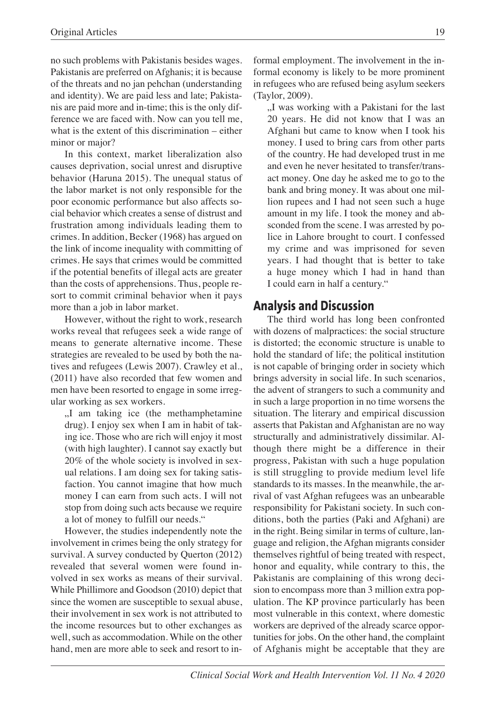no such problems with Pakistanis besides wages. Pakistanis are preferred on Afghanis; it is because of the threats and no jan pehchan (understanding and identity). We are paid less and late; Pakistanis are paid more and in-time; this is the only difference we are faced with. Now can you tell me, what is the extent of this discrimination – either minor or major?

In this context, market liberalization also causes deprivation, social unrest and disruptive behavior (Haruna 2015). The unequal status of the labor market is not only responsible for the poor economic performance but also affects social behavior which creates a sense of distrust and frustration among individuals leading them to crimes. In addition, Becker (1968) has argued on the link of income inequality with committing of crimes. He says that crimes would be committed if the potential benefits of illegal acts are greater than the costs of apprehensions. Thus, people resort to commit criminal behavior when it pays more than a job in labor market.

However, without the right to work, research works reveal that refugees seek a wide range of means to generate alternative income. These strategies are revealed to be used by both the natives and refugees (Lewis 2007). Crawley et al., (2011) have also recorded that few women and men have been resorted to engage in some irregular working as sex workers.

"I am taking ice (the methamphetamine drug). I enjoy sex when I am in habit of taking ice. Those who are rich will enjoy it most (with high laughter). I cannot say exactly but 20% of the whole society is involved in sexual relations. I am doing sex for taking satisfaction. You cannot imagine that how much money I can earn from such acts. I will not stop from doing such acts because we require a lot of money to fulfill our needs."

However, the studies independently note the involvement in crimes being the only strategy for survival. A survey conducted by Querton (2012) revealed that several women were found involved in sex works as means of their survival. While Phillimore and Goodson (2010) depict that since the women are susceptible to sexual abuse, their involvement in sex work is not attributed to the income resources but to other exchanges as well, such as accommodation. While on the other hand, men are more able to seek and resort to informal employment. The involvement in the informal economy is likely to be more prominent in refugees who are refused being asylum seekers (Taylor, 2009).

"I was working with a Pakistani for the last 20 years. He did not know that I was an Afghani but came to know when I took his money. I used to bring cars from other parts of the country. He had developed trust in me and even he never hesitated to transfer/transact money. One day he asked me to go to the bank and bring money. It was about one million rupees and I had not seen such a huge amount in my life. I took the money and absconded from the scene. I was arrested by police in Lahore brought to court. I confessed my crime and was imprisoned for seven years. I had thought that is better to take a huge money which I had in hand than I could earn in half a century."

### **Analysis and Discussion**

The third world has long been confronted with dozens of malpractices: the social structure is distorted; the economic structure is unable to hold the standard of life; the political institution is not capable of bringing order in society which brings adversity in social life. In such scenarios, the advent of strangers to such a community and in such a large proportion in no time worsens the situation. The literary and empirical discussion asserts that Pakistan and Afghanistan are no way structurally and administratively dissimilar. Although there might be a difference in their progress, Pakistan with such a huge population is still struggling to provide medium level life standards to its masses. In the meanwhile, the arrival of vast Afghan refugees was an unbearable responsibility for Pakistani society. In such conditions, both the parties (Paki and Afghani) are in the right. Being similar in terms of culture, language and religion, the Afghan migrants consider themselves rightful of being treated with respect, honor and equality, while contrary to this, the Pakistanis are complaining of this wrong decision to encompass more than 3 million extra population. The KP province particularly has been most vulnerable in this context, where domestic workers are deprived of the already scarce opportunities for jobs. On the other hand, the complaint of Afghanis might be acceptable that they are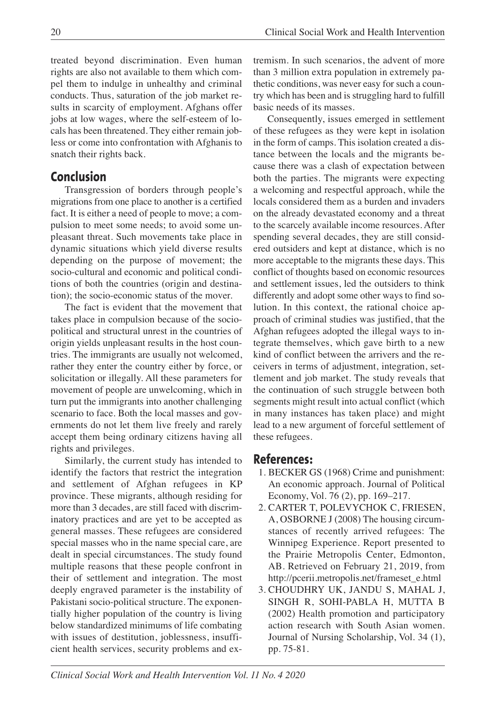treated beyond discrimination. Even human rights are also not available to them which compel them to indulge in unhealthy and criminal conducts. Thus, saturation of the job market results in scarcity of employment. Afghans offer jobs at low wages, where the self-esteem of locals has been threatened. They either remain jobless or come into confrontation with Afghanis to snatch their rights back.

# **Conclusion**

Transgression of borders through people's migrations from one place to another is a certified fact. It is either a need of people to move; a compulsion to meet some needs; to avoid some unpleasant threat. Such movements take place in dynamic situations which yield diverse results depending on the purpose of movement; the socio-cultural and economic and political conditions of both the countries (origin and destination); the socio-economic status of the mover.

The fact is evident that the movement that takes place in compulsion because of the sociopolitical and structural unrest in the countries of origin yields unpleasant results in the host countries. The immigrants are usually not welcomed, rather they enter the country either by force, or solicitation or illegally. All these parameters for movement of people are unwelcoming, which in turn put the immigrants into another challenging scenario to face. Both the local masses and governments do not let them live freely and rarely accept them being ordinary citizens having all rights and privileges.

Similarly, the current study has intended to identify the factors that restrict the integration and settlement of Afghan refugees in KP province. These migrants, although residing for more than 3 decades, are still faced with discriminatory practices and are yet to be accepted as general masses. These refugees are considered special masses who in the name special care, are dealt in special circumstances. The study found multiple reasons that these people confront in their of settlement and integration. The most deeply engraved parameter is the instability of Pakistani socio-political structure. The exponentially higher population of the country is living below standardized minimums of life combating with issues of destitution, joblessness, insufficient health services, security problems and extremism. In such scenarios, the advent of more than 3 million extra population in extremely pathetic conditions, was never easy for such a country which has been and is struggling hard to fulfill basic needs of its masses.

Consequently, issues emerged in settlement of these refugees as they were kept in isolation in the form of camps. This isolation created a distance between the locals and the migrants because there was a clash of expectation between both the parties. The migrants were expecting a welcoming and respectful approach, while the locals considered them as a burden and invaders on the already devastated economy and a threat to the scarcely available income resources. After spending several decades, they are still considered outsiders and kept at distance, which is no more acceptable to the migrants these days. This conflict of thoughts based on economic resources and settlement issues, led the outsiders to think differently and adopt some other ways to find solution. In this context, the rational choice approach of criminal studies was justified, that the Afghan refugees adopted the illegal ways to integrate themselves, which gave birth to a new kind of conflict between the arrivers and the receivers in terms of adjustment, integration, settlement and job market. The study reveals that the continuation of such struggle between both segments might result into actual conflict (which in many instances has taken place) and might lead to a new argument of forceful settlement of these refugees.

# **References:**

- 1. BECKER GS (1968) Crime and punishment: An economic approach. Journal of Political Economy, Vol. 76 (2), pp. 169–217.
- 2. CARTER T, POLEVYCHOK C, FRIESEN, A, OSBORNE J (2008) The housing circumstances of recently arrived refugees: The Winnipeg Experience. Report presented to the Prairie Metropolis Center, Edmonton, AB. Retrieved on February 21, 2019, from http://pcerii.metropolis.net/frameset\_e.html
- 3. CHOUDHRY UK, JANDU S, MAHAL J, SINGH R, SOHI-PABLA H, MUTTA B (2002) Health promotion and participatory action research with South Asian women. Journal of Nursing Scholarship, Vol. 34 (1), pp. 75-81.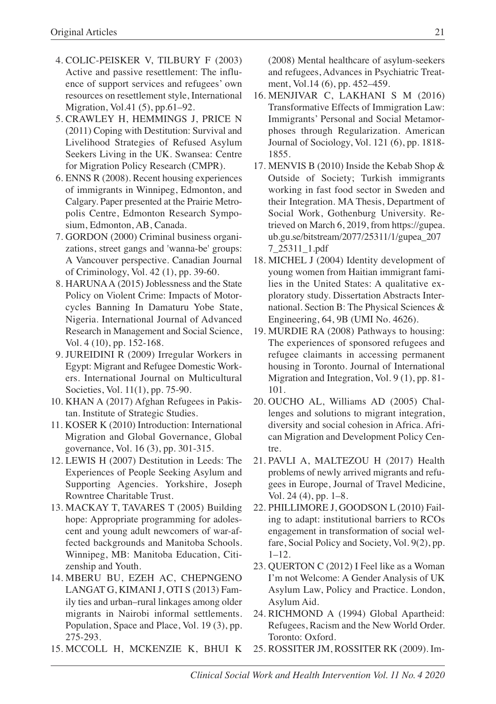- 4. COLIC-PEISKER V, TILBURY F (2003) Active and passive resettlement: The influence of support services and refugees' own resources on resettlement style, International Migration, Vol.41 (5), pp.61–92.
- 5. CRAWLEY H, HEMMINGS J, PRICE N (2011) Coping with Destitution: Survival and Livelihood Strategies of Refused Asylum Seekers Living in the UK. Swansea: Centre for Migration Policy Research (CMPR).
- 6. ENNS R (2008). Recent housing experiences of immigrants in Winnipeg, Edmonton, and Calgary. Paper presented at the Prairie Metropolis Centre, Edmonton Research Symposium, Edmonton, AB, Canada.
- 7. GORDON (2000) Criminal business organizations, street gangs and 'wanna-be' groups: A Vancouver perspective. Canadian Journal of Criminology, Vol. 42 (1), pp. 39-60.
- 8. HARUNAA (2015) Joblessness and the State Policy on Violent Crime: Impacts of Motorcycles Banning In Damaturu Yobe State, Nigeria. International Journal of Advanced Research in Management and Social Science, Vol. 4 (10), pp. 152-168.
- 9. JUREIDINI R (2009) Irregular Workers in Egypt: Migrant and Refugee Domestic Workers. International Journal on Multicultural Societies, Vol. 11(1), pp. 75-90.
- 10. KHAN A (2017) Afghan Refugees in Pakistan. Institute of Strategic Studies.
- 11. KOSER K (2010) Introduction: International Migration and Global Governance, Global governance, Vol. 16 (3), pp. 301-315.
- 12. LEWIS H (2007) Destitution in Leeds: The Experiences of People Seeking Asylum and Supporting Agencies. Yorkshire, Joseph Rowntree Charitable Trust.
- 13. MACKAY T, TAVARES T (2005) Building hope: Appropriate programming for adolescent and young adult newcomers of war-affected backgrounds and Manitoba Schools. Winnipeg, MB: Manitoba Education, Citizenship and Youth.
- 14. MBERU BU, EZEH AC, CHEPNGENO LANGAT G, KIMANI J, OTI S (2013) Family ties and urban–rural linkages among older migrants in Nairobi informal settlements. Population, Space and Place, Vol. 19 (3), pp. 275-293.
- 15. MCCOLL H, MCKENZIE K, BHUI K

(2008) Mental healthcare of asylum-seekers and refugees, Advances in Psychiatric Treatment, Vol.14 (6), pp. 452–459.

- 16. MENJIVAR C, LAKHANI S M (2016) Transformative Effects of Immigration Law: Immigrants' Personal and Social Metamorphoses through Regularization. American Journal of Sociology, Vol. 121 (6), pp. 1818- 1855.
- 17. MENVIS B (2010) Inside the Kebab Shop & Outside of Society; Turkish immigrants working in fast food sector in Sweden and their Integration. MA Thesis, Department of Social Work, Gothenburg University. Retrieved on March 6, 2019, from https://gupea. ub.gu.se/bitstream/2077/25311/1/gupea\_207 7\_25311\_1.pdf
- 18. MICHEL J (2004) Identity development of young women from Haitian immigrant families in the United States: A qualitative exploratory study. Dissertation Abstracts International. Section B: The Physical Sciences & Engineering, 64, 9B (UMI No. 4626).
- 19. MURDIE RA (2008) Pathways to housing: The experiences of sponsored refugees and refugee claimants in accessing permanent housing in Toronto. Journal of International Migration and Integration, Vol. 9 (1), pp. 81- 101.
- 20. OUCHO AL, Williams AD (2005) Challenges and solutions to migrant integration, diversity and social cohesion in Africa. African Migration and Development Policy Centre.
- 21. PAVLI A, MALTEZOU H (2017) Health problems of newly arrived migrants and refugees in Europe, Journal of Travel Medicine, Vol. 24 (4), pp. 1–8.
- 22. PHILLIMORE J, GOODSON L (2010) Failing to adapt: institutional barriers to RCOs engagement in transformation of social welfare, Social Policy and Society, Vol. 9(2), pp. 1–12.
- 23. QUERTON C (2012) I Feel like as a Woman I'm not Welcome: A Gender Analysis of UK Asylum Law, Policy and Practice. London, Asylum Aid.
- 24. RICHMOND A (1994) Global Apartheid: Refugees, Racism and the New World Order. Toronto: Oxford.
- 25. ROSSITER JM, ROSSITER RK (2009). Im-